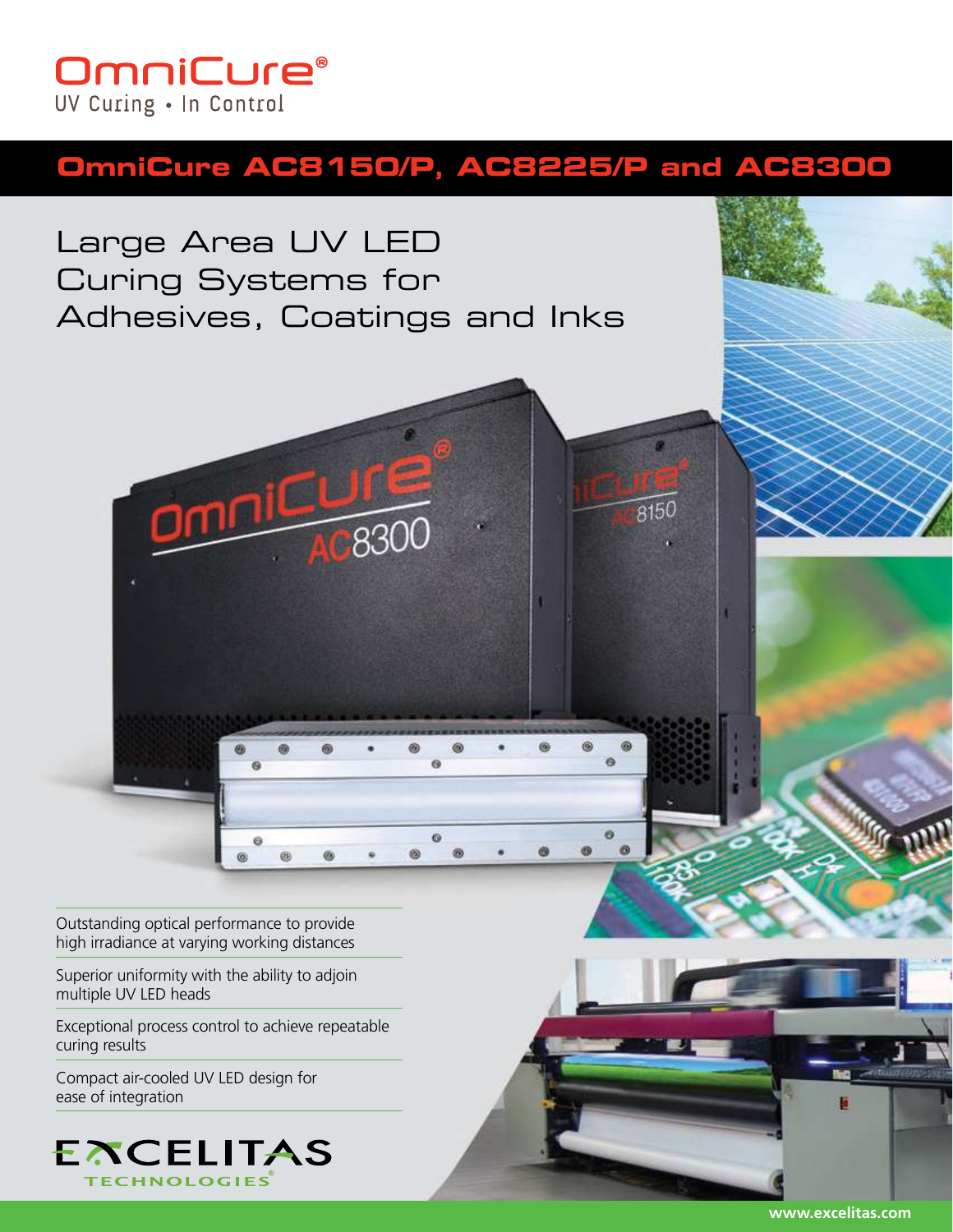# **OmniCure®** UV Curing . In Control

# **OmniCure AC8150/P, AC8225/P and AC8300**

Large Area UV LED Curing Systems for Adhesives, Coatings and Inks



Outstanding optical performance to provide high irradiance at varying working distances

Superior uniformity with the ability to adjoin multiple UV LED heads

Exceptional process control to achieve repeatable curing results

Compact air-cooled UV LED design for ease of integration